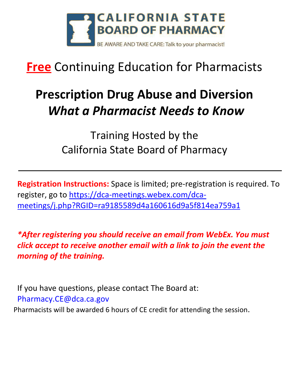

## **Free** Continuing Education for Pharmacists

## **Prescription Drug Abuse and Diversion** *What a Pharmacist Needs to Know*

Training Hosted by the California State Board of Pharmacy

**Registration Instructions:** Space is limited; pre-registration is required. To register, go to [https://dca-meetings.webex.com/dca](https://dca-meetings.webex.com/dca-meetings/j.php?RGID=ra9185589d4a160616d9a5f814ea759a1)[meetings/j.php?RGID=ra9185589d4a160616d9a5f814ea759a1](https://dca-meetings.webex.com/dca-meetings/j.php?RGID=ra9185589d4a160616d9a5f814ea759a1)

*\*After registering you should receive an email from WebEx. You must click accept to receive another email with a link to join the event the morning of the training.* 

If you have questions, please contact The Board at: [Pharmacy.CE@dca.ca.gov](mailto:Pharmacy.CE@dca.ca.gov)

Pharmacists will be awarded 6 hours of CE credit for attending the session.